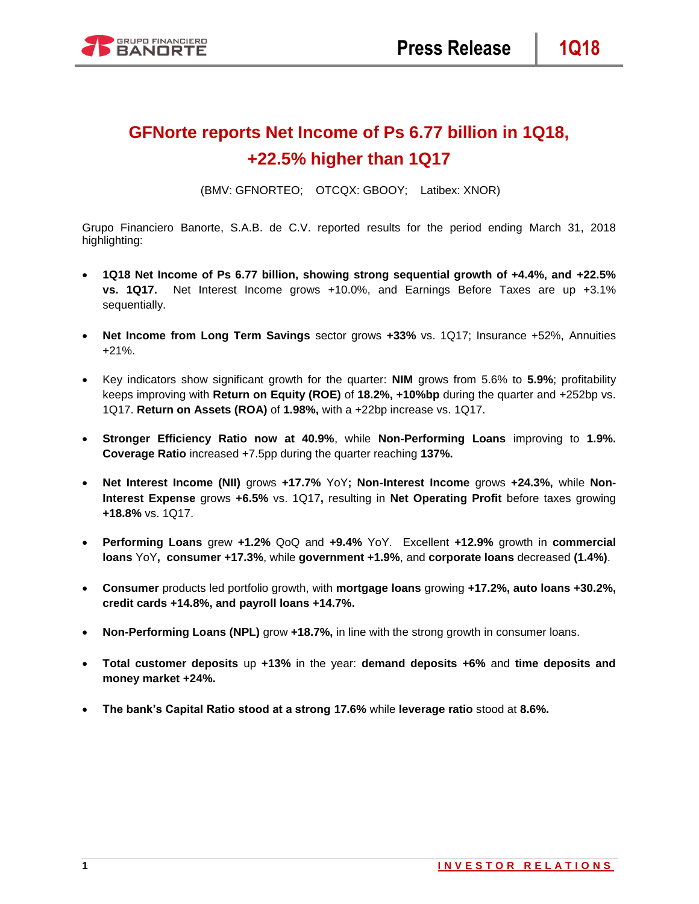

# **GFNorte reports Net Income of Ps 6.77 billion in 1Q18, +22.5% higher than 1Q17**

(BMV: GFNORTEO; OTCQX: GBOOY; Latibex: XNOR)

Grupo Financiero Banorte, S.A.B. de C.V. reported results for the period ending March 31, 2018 highlighting:

- **1Q18 Net Income of Ps 6.77 billion, showing strong sequential growth of +4.4%, and +22.5% vs. 1Q17.** Net Interest Income grows +10.0%, and Earnings Before Taxes are up +3.1% sequentially.
- **Net Income from Long Term Savings** sector grows **+33%** vs. 1Q17; Insurance +52%, Annuities +21%.
- Key indicators show significant growth for the quarter: **NIM** grows from 5.6% to **5.9%**; profitability keeps improving with **Return on Equity (ROE)** of **18.2%, +10%bp** during the quarter and +252bp vs. 1Q17. **Return on Assets (ROA)** of **1.98%,** with a +22bp increase vs. 1Q17.
- **Stronger Efficiency Ratio now at 40.9%**, while **Non-Performing Loans** improving to **1.9%. Coverage Ratio** increased +7.5pp during the quarter reaching **137%.**
- **Net Interest Income (NII)** grows **+17.7%** YoY**; Non-Interest Income** grows **+24.3%,** while **Non-Interest Expense** grows **+6.5%** vs. 1Q17**,** resulting in **Net Operating Profit** before taxes growing **+18.8%** vs. 1Q17.
- **Performing Loans** grew **+1.2%** QoQ and **+9.4%** YoY. Excellent **+12.9%** growth in **commercial loans** YoY**, consumer +17.3%**, while **government +1.9%**, and **corporate loans** decreased **(1.4%)**.
- **Consumer** products led portfolio growth, with **mortgage loans** growing **+17.2%, auto loans +30.2%, credit cards +14.8%, and payroll loans +14.7%.**
- **Non-Performing Loans (NPL)** grow **+18.7%,** in line with the strong growth in consumer loans.
- **Total customer deposits** up **+13%** in the year: **demand deposits +6%** and **time deposits and money market +24%.**
- **The bank's Capital Ratio stood at a strong 17.6%** while **leverage ratio** stood at **8.6%.**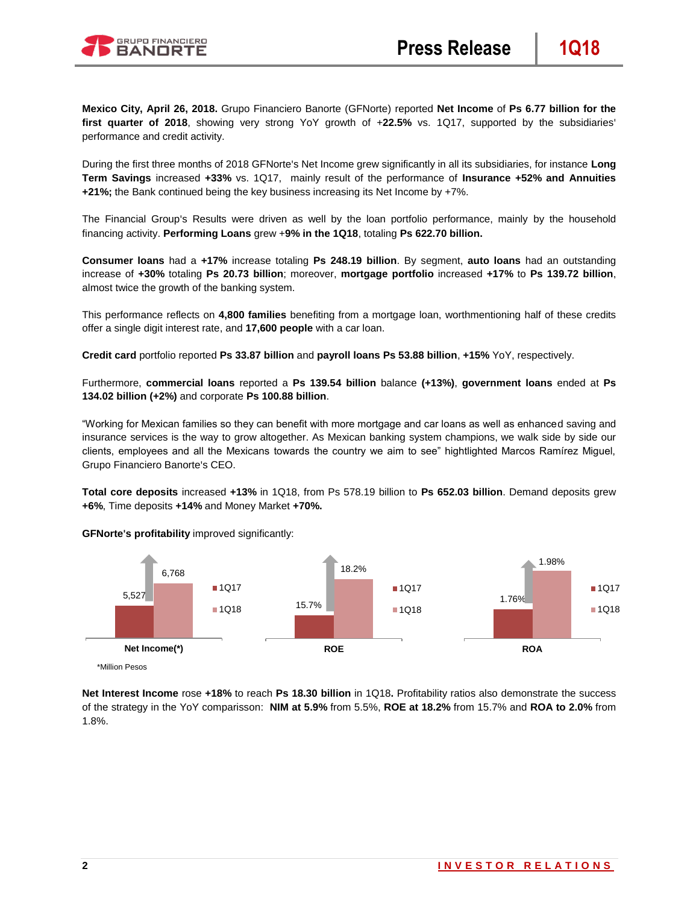

**Mexico City, April 26, 2018.** Grupo Financiero Banorte (GFNorte) reported **Net Income** of **Ps 6.77 billion for the first quarter of 2018**, showing very strong YoY growth of +**22.5%** vs. 1Q17, supported by the subsidiaries' performance and credit activity.

During the first three months of 2018 GFNorte's Net Income grew significantly in all its subsidiaries, for instance **Long Term Savings** increased **+33%** vs. 1Q17, mainly result of the performance of **Insurance +52% and Annuities +21%;** the Bank continued being the key business increasing its Net Income by +7%.

The Financial Group's Results were driven as well by the loan portfolio performance, mainly by the household financing activity. **Performing Loans** grew +**9% in the 1Q18**, totaling **Ps 622.70 billion.**

**Consumer loans** had a **+17%** increase totaling **Ps 248.19 billion**. By segment, **auto loans** had an outstanding increase of **+30%** totaling **Ps 20.73 billion**; moreover, **mortgage portfolio** increased **+17%** to **Ps 139.72 billion**, almost twice the growth of the banking system.

This performance reflects on **4,800 families** benefiting from a mortgage loan, worthmentioning half of these credits offer a single digit interest rate, and **17,600 people** with a car loan.

**Credit card** portfolio reported **Ps 33.87 billion** and **payroll loans Ps 53.88 billion**, **+15%** YoY, respectively.

Furthermore, **commercial loans** reported a **Ps 139.54 billion** balance **(+13%)**, **government loans** ended at **Ps 134.02 billion (+2%)** and corporate **Ps 100.88 billion**.

"Working for Mexican families so they can benefit with more mortgage and car loans as well as enhanced saving and insurance services is the way to grow altogether. As Mexican banking system champions, we walk side by side our clients, employees and all the Mexicans towards the country we aim to see" hightlighted Marcos Ramírez Miguel, Grupo Financiero Banorte's CEO.

**Total core deposits** increased **+13%** in 1Q18, from Ps 578.19 billion to **Ps 652.03 billion**. Demand deposits grew **+6%**, Time deposits **+14%** and Money Market **+70%.**



**GFNorte's profitability** improved significantly:

**Net Interest Income** rose **+18%** to reach **Ps 18.30 billion** in 1Q18**.** Profitability ratios also demonstrate the success of the strategy in the YoY comparisson: **NIM at 5.9%** from 5.5%, **ROE at 18.2%** from 15.7% and **ROA to 2.0%** from 1.8%.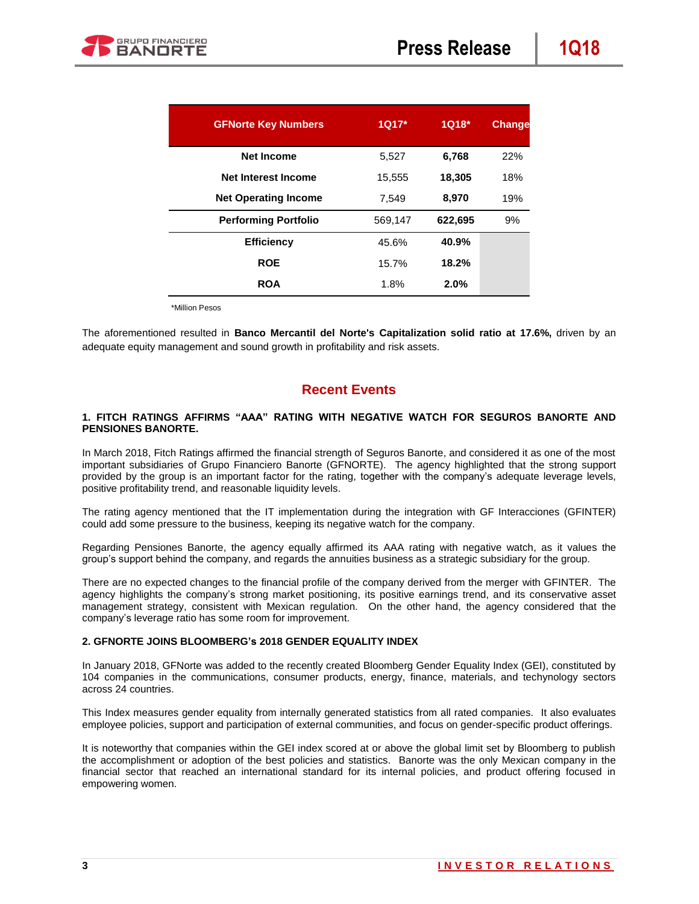| <b>GFNorte Key Numbers</b>  | $1Q17*$ | $1Q18*$ | <b>Change</b> |
|-----------------------------|---------|---------|---------------|
| <b>Net Income</b>           | 5,527   | 6,768   | 22%           |
| Net Interest Income         | 15,555  | 18,305  | 18%           |
| <b>Net Operating Income</b> | 7,549   | 8,970   | 19%           |
| <b>Performing Portfolio</b> | 569,147 | 622,695 | 9%            |
| <b>Efficiency</b>           | 45.6%   | 40.9%   |               |
| <b>ROE</b>                  | 15.7%   | 18.2%   |               |
| <b>ROA</b>                  | 1.8%    | 2.0%    |               |

\*Million Pesos

The aforementioned resulted in **Banco Mercantil del Norte's Capitalization solid ratio at 17.6%,** driven by an adequate equity management and sound growth in profitability and risk assets.

## **Recent Events**

### **1. FITCH RATINGS AFFIRMS "AAA" RATING WITH NEGATIVE WATCH FOR SEGUROS BANORTE AND PENSIONES BANORTE.**

In March 2018, Fitch Ratings affirmed the financial strength of Seguros Banorte, and considered it as one of the most important subsidiaries of Grupo Financiero Banorte (GFNORTE). The agency highlighted that the strong support provided by the group is an important factor for the rating, together with the company's adequate leverage levels, positive profitability trend, and reasonable liquidity levels.

The rating agency mentioned that the IT implementation during the integration with GF Interacciones (GFINTER) could add some pressure to the business, keeping its negative watch for the company.

Regarding Pensiones Banorte, the agency equally affirmed its AAA rating with negative watch, as it values the group's support behind the company, and regards the annuities business as a strategic subsidiary for the group.

There are no expected changes to the financial profile of the company derived from the merger with GFINTER. The agency highlights the company's strong market positioning, its positive earnings trend, and its conservative asset management strategy, consistent with Mexican regulation. On the other hand, the agency considered that the company's leverage ratio has some room for improvement.

#### **2. GFNORTE JOINS BLOOMBERG's 2018 GENDER EQUALITY INDEX**

In January 2018, GFNorte was added to the recently created Bloomberg Gender Equality Index (GEI), constituted by 104 companies in the communications, consumer products, energy, finance, materials, and techynology sectors across 24 countries.

This Index measures gender equality from internally generated statistics from all rated companies. It also evaluates employee policies, support and participation of external communities, and focus on gender-specific product offerings.

It is noteworthy that companies within the GEI index scored at or above the global limit set by Bloomberg to publish the accomplishment or adoption of the best policies and statistics. Banorte was the only Mexican company in the financial sector that reached an international standard for its internal policies, and product offering focused in empowering women.